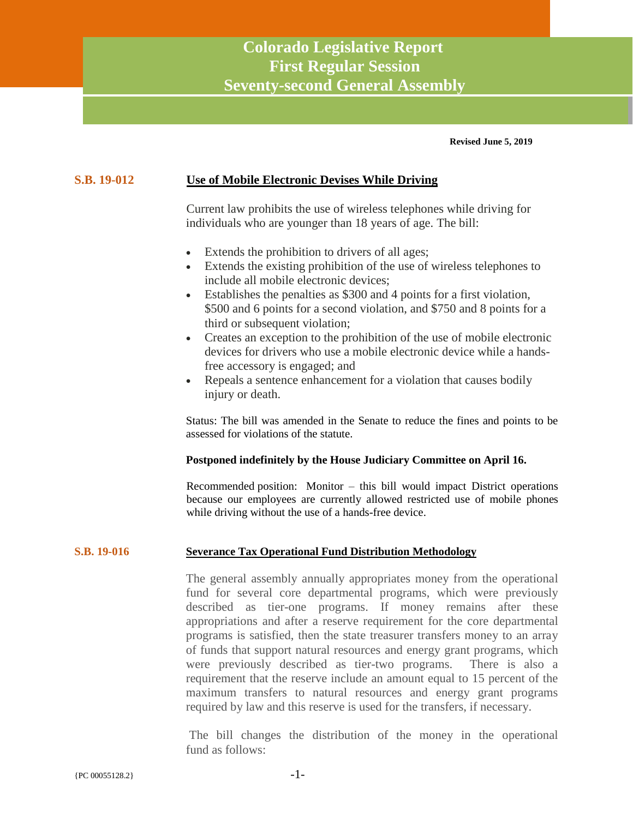# **Colorado Legislative Report First Regular Session Seventy-second General Assembly**

**Revised June 5, 2019**

## **S.B. 19-012 Use of Mobile Electronic Devises While Driving**

Current law prohibits the use of wireless telephones while driving for individuals who are younger than 18 years of age. The bill:

- Extends the prohibition to drivers of all ages;
- Extends the existing prohibition of the use of wireless telephones to include all mobile electronic devices;
- Establishes the penalties as \$300 and 4 points for a first violation, \$500 and 6 points for a second violation, and \$750 and 8 points for a third or subsequent violation;
- Creates an exception to the prohibition of the use of mobile electronic devices for drivers who use a mobile electronic device while a handsfree accessory is engaged; and
- Repeals a sentence enhancement for a violation that causes bodily injury or death.

Status: The bill was amended in the Senate to reduce the fines and points to be assessed for violations of the statute.

#### **Postponed indefinitely by the House Judiciary Committee on April 16.**

Recommended position: Monitor – this bill would impact District operations because our employees are currently allowed restricted use of mobile phones while driving without the use of a hands-free device.

#### **S.B. 19-016 Severance Tax Operational Fund Distribution Methodology**

The general assembly annually appropriates money from the operational fund for several core departmental programs, which were previously described as tier-one programs. If money remains after these appropriations and after a reserve requirement for the core departmental programs is satisfied, then the state treasurer transfers money to an array of funds that support natural resources and energy grant programs, which were previously described as tier-two programs. There is also a requirement that the reserve include an amount equal to 15 percent of the maximum transfers to natural resources and energy grant programs required by law and this reserve is used for the transfers, if necessary.

The bill changes the distribution of the money in the operational fund as follows: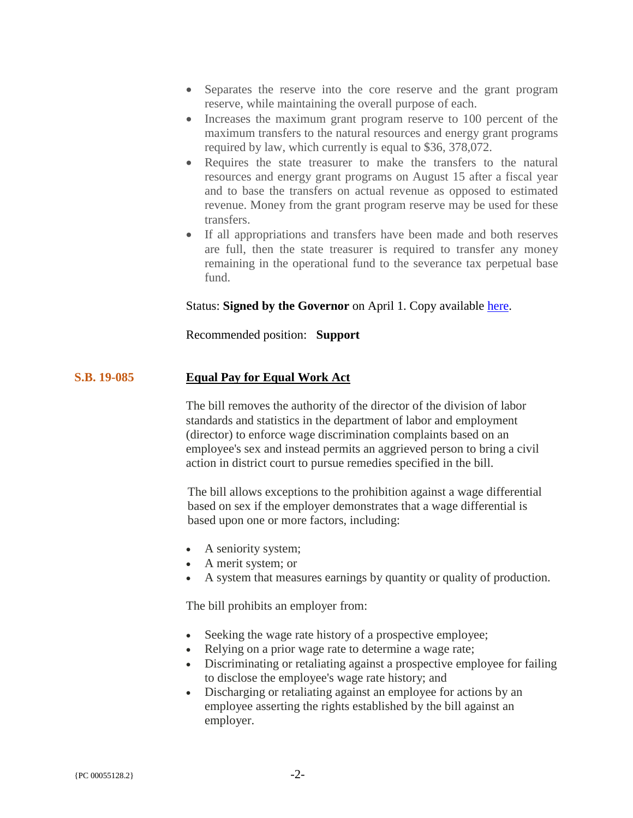- Separates the reserve into the core reserve and the grant program reserve, while maintaining the overall purpose of each.
- Increases the maximum grant program reserve to 100 percent of the maximum transfers to the natural resources and energy grant programs required by law, which currently is equal to \$36, 378,072.
- Requires the state treasurer to make the transfers to the natural resources and energy grant programs on August 15 after a fiscal year and to base the transfers on actual revenue as opposed to estimated revenue. Money from the grant program reserve may be used for these transfers.
- If all appropriations and transfers have been made and both reserves are full, then the state treasurer is required to transfer any money remaining in the operational fund to the severance tax perpetual base fund.

## Status: **Signed by the Governor** on April 1. Copy available [here.](https://plattecanyonwd-my.sharepoint.com/:b:/g/personal/pjfitzgerald_plattecanyon_org/EfWwxYzsWQxLkzmsghp7LScB5TxaBY2TECEWPZs6bqGDEw?e=IB4Mbz)

Recommended position: **Support**

#### **S.B. 19-085 Equal Pay for Equal Work Act**

The bill removes the authority of the director of the division of labor standards and statistics in the department of labor and employment (director) to enforce wage discrimination complaints based on an employee's sex and instead permits an aggrieved person to bring a civil action in district court to pursue remedies specified in the bill.

The bill allows exceptions to the prohibition against a wage differential based on sex if the employer demonstrates that a wage differential is based upon one or more factors, including:

- A seniority system;
- A merit system; or
- A system that measures earnings by quantity or quality of production.

The bill prohibits an employer from:

- Seeking the wage rate history of a prospective employee;
- Relying on a prior wage rate to determine a wage rate;
- Discriminating or retaliating against a prospective employee for failing to disclose the employee's wage rate history; and
- Discharging or retaliating against an employee for actions by an employee asserting the rights established by the bill against an employer.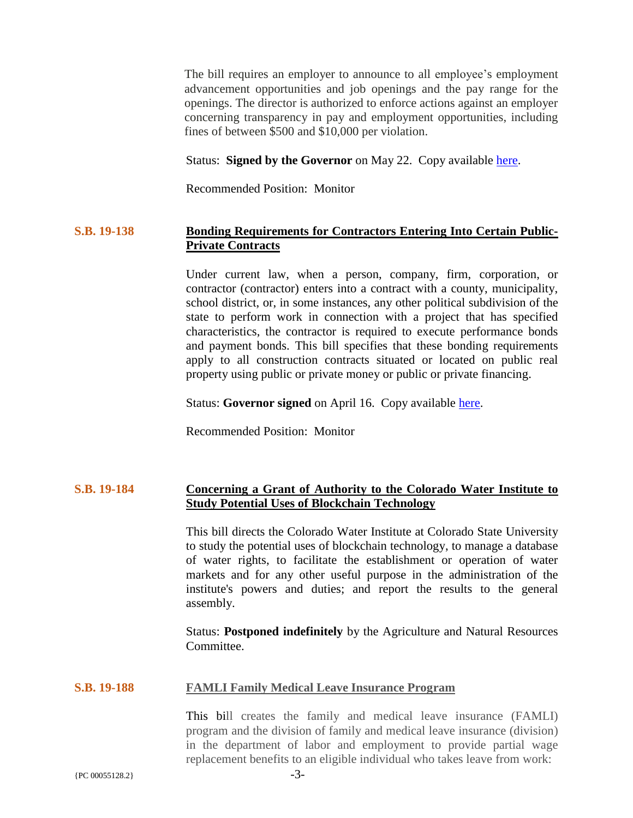The bill requires an employer to announce to all employee's employment advancement opportunities and job openings and the pay range for the openings. The director is authorized to enforce actions against an employer concerning transparency in pay and employment opportunities, including fines of between \$500 and \$10,000 per violation.

#### Status: **Signed by the Governor** on May 22. Copy available [here.](https://plattecanyonwd-my.sharepoint.com/:b:/g/personal/pjfitzgerald_plattecanyon_org/EQFMrvS-ZLxNvMgbFUtT4i0BlISfvqNfmuxTZ1nNePZk2Q?e=mFAG1H)

Recommended Position: Monitor

## **S.B. 19-138 Bonding Requirements for Contractors Entering Into Certain Public-Private Contracts**

Under current law, when a person, company, firm, corporation, or contractor (contractor) enters into a contract with a county, municipality, school district, or, in some instances, any other political subdivision of the state to perform work in connection with a project that has specified characteristics, the contractor is required to execute performance bonds and payment bonds. This bill specifies that these bonding requirements apply to all construction contracts situated or located on public real property using public or private money or public or private financing.

Status: **Governor signed** on April 16. Copy available [here.](https://plattecanyonwd-my.sharepoint.com/:b:/g/personal/pjfitzgerald_plattecanyon_org/EUbWBq-TmAJPkQnHVRbNn3UBtIuTnasmyNzhzYF5SOgXNg?e=Jpv7ka)

Recommended Position: Monitor

# **S.B. 19-184 Concerning a Grant of Authority to the Colorado Water Institute to Study Potential Uses of Blockchain Technology**

This bill directs the Colorado Water Institute at Colorado State University to study the potential uses of blockchain technology, to manage a database of water rights, to facilitate the establishment or operation of water markets and for any other useful purpose in the administration of the institute's powers and duties; and report the results to the general assembly.

Status: **Postponed indefinitely** by the Agriculture and Natural Resources Committee.

## **S.B. 19-188 FAMLI Family Medical Leave Insurance Program**

This bill creates the family and medical leave insurance (FAMLI) program and the division of family and medical leave insurance (division) in the department of labor and employment to provide partial wage replacement benefits to an eligible individual who takes leave from work: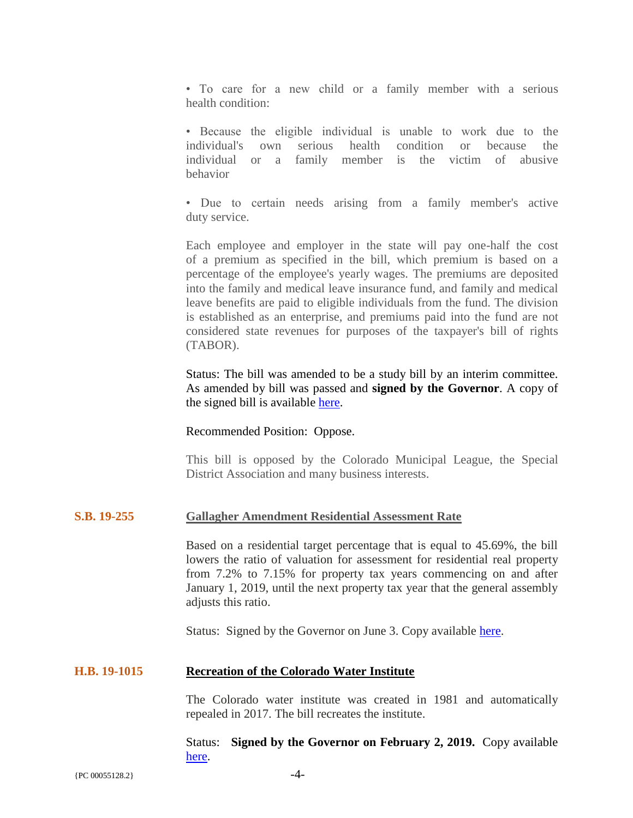• To care for a new child or a family member with a serious health condition:

• Because the eligible individual is unable to work due to the individual's own serious health condition or because the individual or a family member is the victim of abusive behavior

• Due to certain needs arising from a family member's active duty service.

Each employee and employer in the state will pay one-half the cost of a premium as specified in the bill, which premium is based on a percentage of the employee's yearly wages. The premiums are deposited into the family and medical leave insurance fund, and family and medical leave benefits are paid to eligible individuals from the fund. The division is established as an enterprise, and premiums paid into the fund are not considered state revenues for purposes of the taxpayer's bill of rights (TABOR).

Status: The bill was amended to be a study bill by an interim committee. As amended by bill was passed and **signed by the Governor**. A copy of the signed bill is available [here.](https://plattecanyonwd-my.sharepoint.com/:b:/g/personal/pjfitzgerald_plattecanyon_org/EX1FsomlRyNDvpmcUMb3BPABM5wouaUighovqQFhFmTzow?e=9BlzTm)

#### Recommended Position: Oppose.

This bill is opposed by the Colorado Municipal League, the Special District Association and many business interests.

#### **S.B. 19-255 Gallagher Amendment Residential Assessment Rate**

Based on a residential target percentage that is equal to 45.69%, the bill lowers the ratio of valuation for assessment for residential real property from 7.2% to 7.15% for property tax years commencing on and after January 1, 2019, until the next property tax year that the general assembly adjusts this ratio.

Status: Signed by the Governor on June 3. Copy available [here.](https://plattecanyonwd-my.sharepoint.com/:b:/g/personal/pjfitzgerald_plattecanyon_org/EbTXVG0KfP9IpROVSseYJ3oBzpjTGx51kGNNk3ZyTHybRg?e=HfTFdd)

#### **H.B. 19-1015 Recreation of the Colorado Water Institute**

The Colorado water institute was created in 1981 and automatically repealed in 2017. The bill recreates the institute.

Status: **Signed by the Governor on February 2, 2019.** Copy available [here.](https://plattecanyonwd-my.sharepoint.com/:b:/g/personal/pjfitzgerald_plattecanyon_org/Ef8iQoK-ABJHkiUxS_SG-TwBYdjf5ob2QkZvnVZjXD08DA?e=El6Cy5)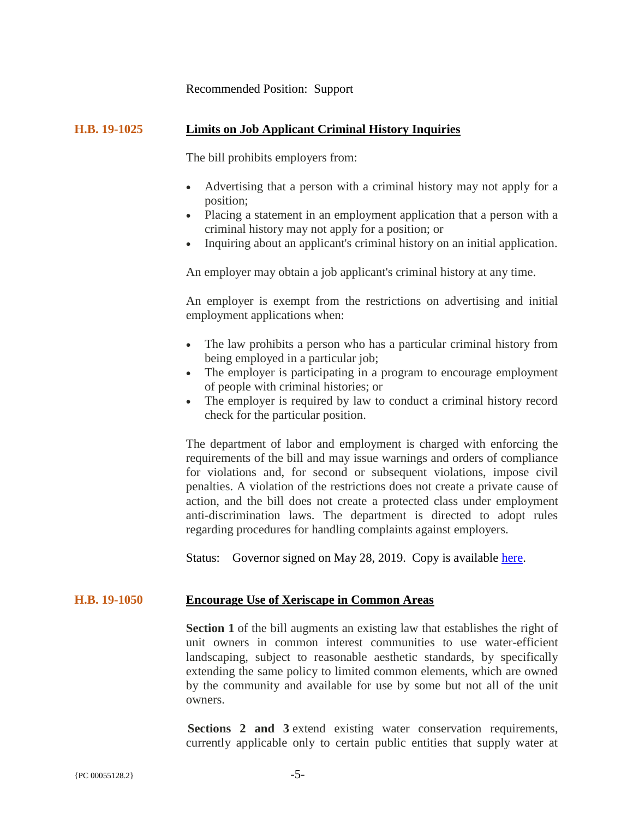#### Recommended Position: Support

#### **H.B. 19-1025 Limits on Job Applicant Criminal History Inquiries**

The bill prohibits employers from:

- Advertising that a person with a criminal history may not apply for a position;
- Placing a statement in an employment application that a person with a criminal history may not apply for a position; or
- Inquiring about an applicant's criminal history on an initial application.

An employer may obtain a job applicant's criminal history at any time.

An employer is exempt from the restrictions on advertising and initial employment applications when:

- The law prohibits a person who has a particular criminal history from being employed in a particular job;
- The employer is participating in a program to encourage employment of people with criminal histories; or
- The employer is required by law to conduct a criminal history record check for the particular position.

The department of labor and employment is charged with enforcing the requirements of the bill and may issue warnings and orders of compliance for violations and, for second or subsequent violations, impose civil penalties. A violation of the restrictions does not create a private cause of action, and the bill does not create a protected class under employment anti-discrimination laws. The department is directed to adopt rules regarding procedures for handling complaints against employers.

Status: Governor signed on May 28, 2019. Copy is available [here.](https://plattecanyonwd-my.sharepoint.com/:b:/g/personal/pjfitzgerald_plattecanyon_org/Eb3RKBR39nRJh6u8WCkVbT4BXjFwhZVat49x4dyRlmtj6Q?e=rUq7bq)

#### **H.B. 19-1050 Encourage Use of Xeriscape in Common Areas**

**Section 1** of the bill augments an existing law that establishes the right of unit owners in common interest communities to use water-efficient landscaping, subject to reasonable aesthetic standards, by specifically extending the same policy to limited common elements, which are owned by the community and available for use by some but not all of the unit owners.

**Sections 2 and 3** extend existing water conservation requirements, currently applicable only to certain public entities that supply water at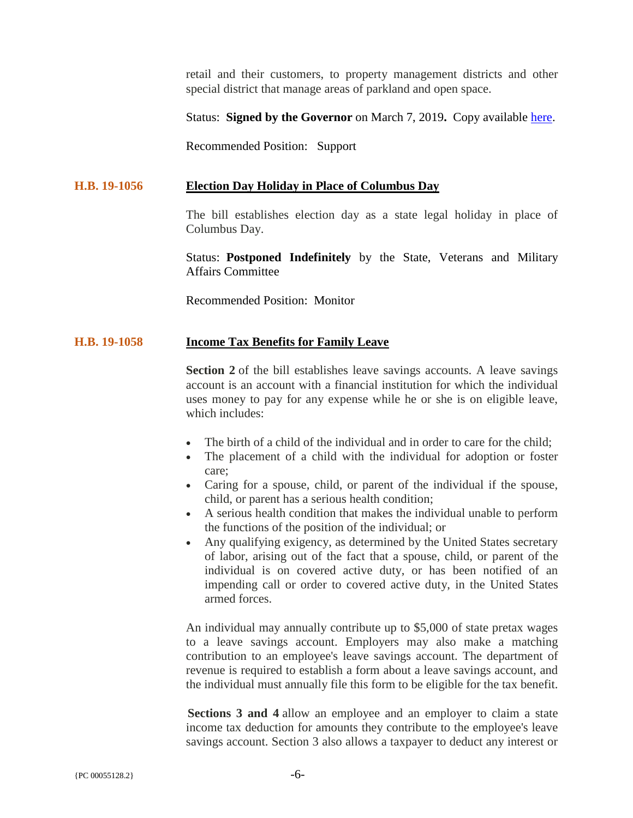retail and their customers, to property management districts and other special district that manage areas of parkland and open space.

Status: **Signed by the Governor** on March 7, 2019**.** Copy available [here.](https://plattecanyonwd-my.sharepoint.com/:b:/g/personal/pjfitzgerald_plattecanyon_org/EWVWOm2I0M5PlERYl76cNbEBtPr3BsfA2BAwuJQek6kFQA?e=E9sw5Z)

Recommended Position: Support

#### **H.B. 19-1056 Election Day Holiday in Place of Columbus Day**

The bill establishes election day as a state legal holiday in place of Columbus Day.

Status: **Postponed Indefinitely** by the State, Veterans and Military Affairs Committee

Recommended Position: Monitor

#### **H.B. 19-1058 Income Tax Benefits for Family Leave**

**Section 2** of the bill establishes leave savings accounts. A leave savings account is an account with a financial institution for which the individual uses money to pay for any expense while he or she is on eligible leave, which includes:

- The birth of a child of the individual and in order to care for the child:
- The placement of a child with the individual for adoption or foster care;
- Caring for a spouse, child, or parent of the individual if the spouse, child, or parent has a serious health condition;
- A serious health condition that makes the individual unable to perform the functions of the position of the individual; or
- Any qualifying exigency, as determined by the United States secretary of labor, arising out of the fact that a spouse, child, or parent of the individual is on covered active duty, or has been notified of an impending call or order to covered active duty, in the United States armed forces.

An individual may annually contribute up to \$5,000 of state pretax wages to a leave savings account. Employers may also make a matching contribution to an employee's leave savings account. The department of revenue is required to establish a form about a leave savings account, and the individual must annually file this form to be eligible for the tax benefit.

**Sections 3 and 4** allow an employee and an employer to claim a state income tax deduction for amounts they contribute to the employee's leave savings account. Section 3 also allows a taxpayer to deduct any interest or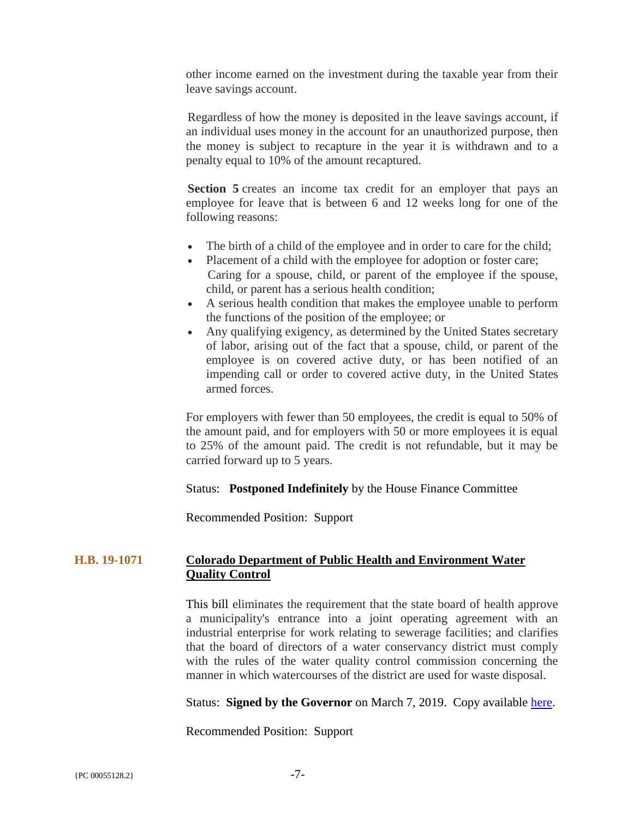other income earned on the investment during the taxable year from their leave savings account.

Regardless of how the money is deposited in the leave savings account, if an individual uses money in the account for an unauthorized purpose, then the money is subject to recapture in the year it is withdrawn and to a penalty equal to 10% of the amount recaptured.

**Section 5** creates an income tax credit for an employer that pays an employee for leave that is between 6 and 12 weeks long for one of the following reasons:

- The birth of a child of the employee and in order to care for the child;
- Placement of a child with the employee for adoption or foster care; Caring for a spouse, child, or parent of the employee if the spouse, child, or parent has a serious health condition;
- A serious health condition that makes the employee unable to perform the functions of the position of the employee; or
- Any qualifying exigency, as determined by the United States secretary of labor, arising out of the fact that a spouse, child, or parent of the employee is on covered active duty, or has been notified of an impending call or order to covered active duty, in the United States armed forces.

For employers with fewer than 50 employees, the credit is equal to 50% of the amount paid, and for employers with 50 or more employees it is equal to 25% of the amount paid. The credit is not refundable, but it may be carried forward up to 5 years.

## Status: **Postponed Indefinitely** by the House Finance Committee

Recommended Position: Support

## **H.B. 19-1071 Colorado Department of Public Health and Environment Water Quality Control**

This bill eliminates the requirement that the state board of health approve a municipality's entrance into a joint operating agreement with an industrial enterprise for work relating to sewerage facilities; and clarifies that the board of directors of a water conservancy district must comply with the rules of the water quality control commission concerning the manner in which watercourses of the district are used for waste disposal.

Status: **Signed by the Governor** on March 7, 2019. Copy available [here.](https://plattecanyonwd-my.sharepoint.com/:b:/g/personal/pjfitzgerald_plattecanyon_org/Eb8n7OpXFxFNgGjhy1HJmOwBAzWKHexJBpjHVjfXXuyuQA?e=agSZNb)

Recommended Position: Support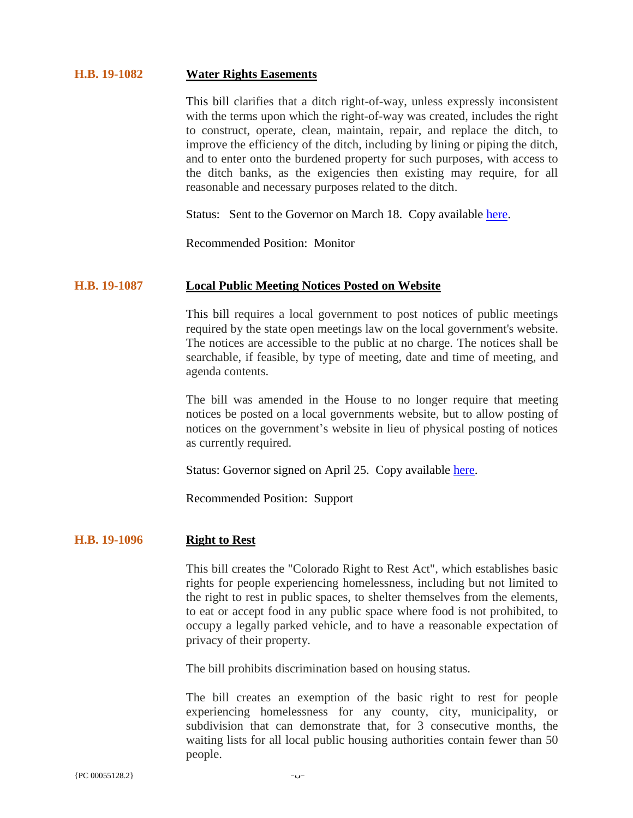#### **H.B. 19-1082 Water Rights Easements**

This bill clarifies that a ditch right-of-way, unless expressly inconsistent with the terms upon which the right-of-way was created, includes the right to construct, operate, clean, maintain, repair, and replace the ditch, to improve the efficiency of the ditch, including by lining or piping the ditch, and to enter onto the burdened property for such purposes, with access to the ditch banks, as the exigencies then existing may require, for all reasonable and necessary purposes related to the ditch.

Status: Sent to the Governor on March 18. Copy available [here.](https://plattecanyonwd-my.sharepoint.com/:b:/g/personal/pjfitzgerald_plattecanyon_org/EXy_KkSCfFRJk1kZx2YD8V4Bq1AAWlB7ndOZZdoY6bZmMA?e=xkWsXH)

Recommended Position: Monitor

#### **H.B. 19-1087 Local Public Meeting Notices Posted on Website**

This bill requires a local government to post notices of public meetings required by the state open meetings law on the local government's website. The notices are accessible to the public at no charge. The notices shall be searchable, if feasible, by type of meeting, date and time of meeting, and agenda contents.

The bill was amended in the House to no longer require that meeting notices be posted on a local governments website, but to allow posting of notices on the government's website in lieu of physical posting of notices as currently required.

Status: Governor signed on April 25. Copy available [here.](https://plattecanyonwd-my.sharepoint.com/:b:/g/personal/pjfitzgerald_plattecanyon_org/EZbnPvG-6UJNvOQ2qGBiwm0BtBEuJyt5kRRJwtJIyzsrGw?e=B3mzI3)

Recommended Position: Support

## **H.B. 19-1096 Right to Rest**

This bill creates the "Colorado Right to Rest Act", which establishes basic rights for people experiencing homelessness, including but not limited to the right to rest in public spaces, to shelter themselves from the elements, to eat or accept food in any public space where food is not prohibited, to occupy a legally parked vehicle, and to have a reasonable expectation of privacy of their property.

The bill prohibits discrimination based on housing status.

The bill creates an exemption of the basic right to rest for people experiencing homelessness for any county, city, municipality, or subdivision that can demonstrate that, for 3 consecutive months, the waiting lists for all local public housing authorities contain fewer than 50 people.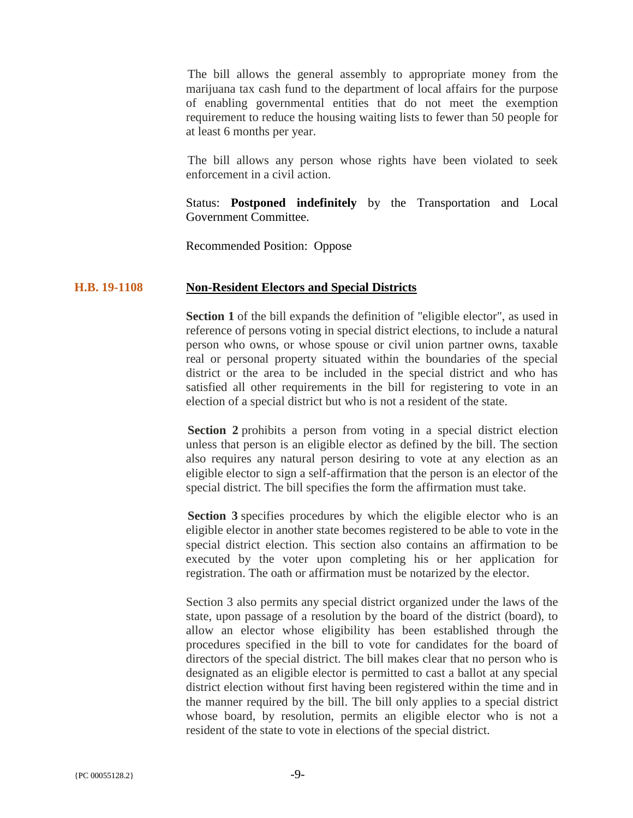The bill allows the general assembly to appropriate money from the marijuana tax cash fund to the department of local affairs for the purpose of enabling governmental entities that do not meet the exemption requirement to reduce the housing waiting lists to fewer than 50 people for at least 6 months per year.

The bill allows any person whose rights have been violated to seek enforcement in a civil action.

Status: **Postponed indefinitely** by the Transportation and Local Government Committee.

Recommended Position: Oppose

#### **H.B. 19-1108 Non-Resident Electors and Special Districts**

**Section 1** of the bill expands the definition of "eligible elector", as used in reference of persons voting in special district elections, to include a natural person who owns, or whose spouse or civil union partner owns, taxable real or personal property situated within the boundaries of the special district or the area to be included in the special district and who has satisfied all other requirements in the bill for registering to vote in an election of a special district but who is not a resident of the state.

**Section 2** prohibits a person from voting in a special district election unless that person is an eligible elector as defined by the bill. The section also requires any natural person desiring to vote at any election as an eligible elector to sign a self-affirmation that the person is an elector of the special district. The bill specifies the form the affirmation must take.

**Section 3** specifies procedures by which the eligible elector who is an eligible elector in another state becomes registered to be able to vote in the special district election. This section also contains an affirmation to be executed by the voter upon completing his or her application for registration. The oath or affirmation must be notarized by the elector.

Section 3 also permits any special district organized under the laws of the state, upon passage of a resolution by the board of the district (board), to allow an elector whose eligibility has been established through the procedures specified in the bill to vote for candidates for the board of directors of the special district. The bill makes clear that no person who is designated as an eligible elector is permitted to cast a ballot at any special district election without first having been registered within the time and in the manner required by the bill. The bill only applies to a special district whose board, by resolution, permits an eligible elector who is not a resident of the state to vote in elections of the special district.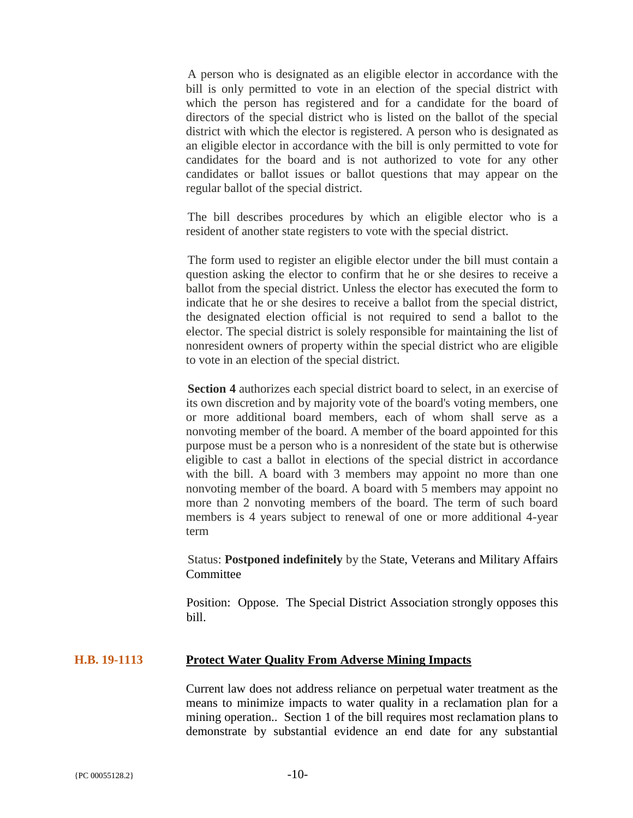A person who is designated as an eligible elector in accordance with the bill is only permitted to vote in an election of the special district with which the person has registered and for a candidate for the board of directors of the special district who is listed on the ballot of the special district with which the elector is registered. A person who is designated as an eligible elector in accordance with the bill is only permitted to vote for candidates for the board and is not authorized to vote for any other candidates or ballot issues or ballot questions that may appear on the regular ballot of the special district.

The bill describes procedures by which an eligible elector who is a resident of another state registers to vote with the special district.

The form used to register an eligible elector under the bill must contain a question asking the elector to confirm that he or she desires to receive a ballot from the special district. Unless the elector has executed the form to indicate that he or she desires to receive a ballot from the special district, the designated election official is not required to send a ballot to the elector. The special district is solely responsible for maintaining the list of nonresident owners of property within the special district who are eligible to vote in an election of the special district.

**Section 4** authorizes each special district board to select, in an exercise of its own discretion and by majority vote of the board's voting members, one or more additional board members, each of whom shall serve as a nonvoting member of the board. A member of the board appointed for this purpose must be a person who is a nonresident of the state but is otherwise eligible to cast a ballot in elections of the special district in accordance with the bill. A board with 3 members may appoint no more than one nonvoting member of the board. A board with 5 members may appoint no more than 2 nonvoting members of the board. The term of such board members is 4 years subject to renewal of one or more additional 4-year term

Status: **Postponed indefinitely** by the State, Veterans and Military Affairs **Committee** 

Position: Oppose. The Special District Association strongly opposes this bill.

#### **H.B. 19-1113 Protect Water Quality From Adverse Mining Impacts**

Current law does not address reliance on perpetual water treatment as the means to minimize impacts to water quality in a reclamation plan for a mining operation.. Section 1 of the bill requires most reclamation plans to demonstrate by substantial evidence an end date for any substantial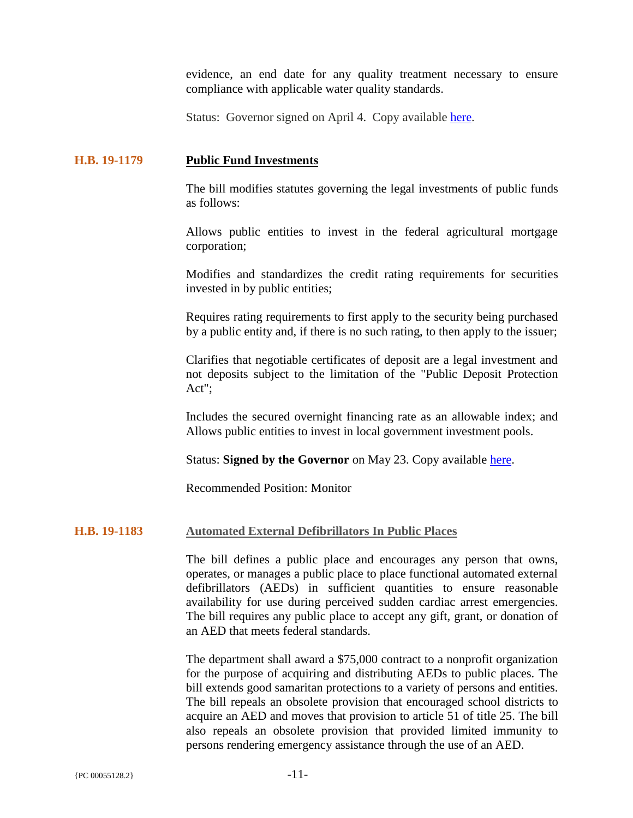evidence, an end date for any quality treatment necessary to ensure compliance with applicable water quality standards.

Status: Governor signed on April 4. Copy available [here.](https://plattecanyonwd-my.sharepoint.com/:b:/g/personal/pjfitzgerald_plattecanyon_org/EQLws5HDqIRFt9JQbP3B87sB0ql3ujRhnKKgIIB-AjLwDw?e=6bzJWo)

## **H.B. 19-1179 Public Fund Investments**

The bill modifies statutes governing the legal investments of public funds as follows:

Allows public entities to invest in the federal agricultural mortgage corporation;

Modifies and standardizes the credit rating requirements for securities invested in by public entities;

Requires rating requirements to first apply to the security being purchased by a public entity and, if there is no such rating, to then apply to the issuer;

Clarifies that negotiable certificates of deposit are a legal investment and not deposits subject to the limitation of the "Public Deposit Protection Act";

Includes the secured overnight financing rate as an allowable index; and Allows public entities to invest in local government investment pools.

Status: **Signed by the Governor** on May 23. Copy available [here.](https://plattecanyonwd-my.sharepoint.com/:b:/g/personal/pjfitzgerald_plattecanyon_org/EZ8JLvQXep9Kj8UB9Z_tgjQBE4AH4fD2u-8SVdS4Y9Ut1g?e=bTYr5z)

Recommended Position: Monitor

## **H.B. 19-1183 Automated External Defibrillators In Public Places**

The bill defines a public place and encourages any person that owns, operates, or manages a public place to place functional automated external defibrillators (AEDs) in sufficient quantities to ensure reasonable availability for use during perceived sudden cardiac arrest emergencies. The bill requires any public place to accept any gift, grant, or donation of an AED that meets federal standards.

The department shall award a \$75,000 contract to a nonprofit organization for the purpose of acquiring and distributing AEDs to public places. The bill extends good samaritan protections to a variety of persons and entities. The bill repeals an obsolete provision that encouraged school districts to acquire an AED and moves that provision to article 51 of title 25. The bill also repeals an obsolete provision that provided limited immunity to persons rendering emergency assistance through the use of an AED.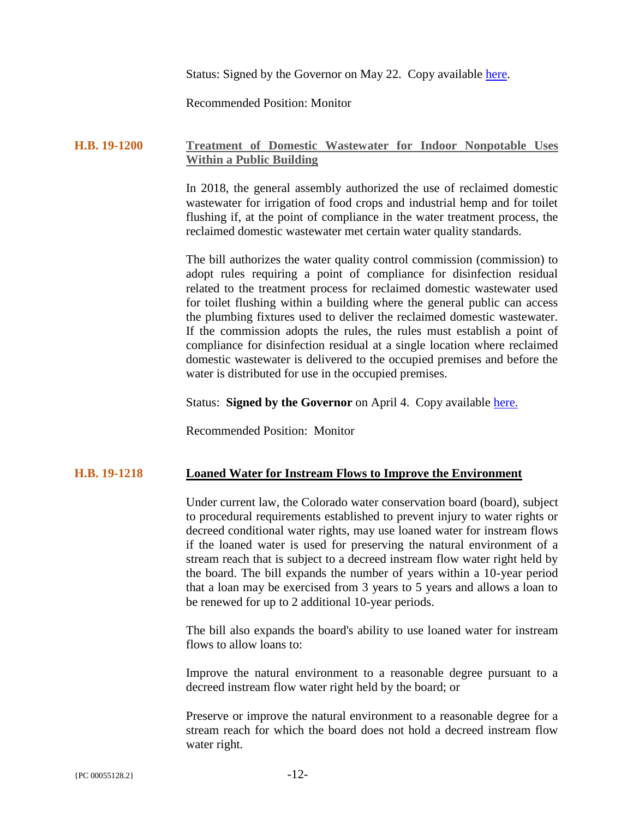Status: Signed by the Governor on May 22. Copy available [here.](https://plattecanyonwd-my.sharepoint.com/:b:/g/personal/pjfitzgerald_plattecanyon_org/EZq7qQ4FwKlLs49q0BMUcEgBf81Xu-Swa45UezRBsL9nOA?e=YTkgmu)

Recommended Position: Monitor

## **H.B. 19-1200 Treatment of Domestic Wastewater for Indoor Nonpotable Uses Within a Public Building**

In 2018, the general assembly authorized the use of reclaimed domestic wastewater for irrigation of food crops and industrial hemp and for toilet flushing if, at the point of compliance in the water treatment process, the reclaimed domestic wastewater met certain water quality standards.

The bill authorizes the water quality control commission (commission) to adopt rules requiring a point of compliance for disinfection residual related to the treatment process for reclaimed domestic wastewater used for toilet flushing within a building where the general public can access the plumbing fixtures used to deliver the reclaimed domestic wastewater. If the commission adopts the rules, the rules must establish a point of compliance for disinfection residual at a single location where reclaimed domestic wastewater is delivered to the occupied premises and before the water is distributed for use in the occupied premises.

Status: **Signed by the Governor** on April 4. Copy available [here.](https://plattecanyonwd-my.sharepoint.com/:b:/g/personal/pjfitzgerald_plattecanyon_org/EZMwBWSD-4xFiZNzpMs_6pEBakuLZJ3_3CJjSecekxaklg?e=LL2usy)

Recommended Position: Monitor

#### **H.B. 19-1218 Loaned Water for Instream Flows to Improve the Environment**

Under current law, the Colorado water conservation board (board), subject to procedural requirements established to prevent injury to water rights or decreed conditional water rights, may use loaned water for instream flows if the loaned water is used for preserving the natural environment of a stream reach that is subject to a decreed instream flow water right held by the board. The bill expands the number of years within a 10-year period that a loan may be exercised from 3 years to 5 years and allows a loan to be renewed for up to 2 additional 10-year periods.

The bill also expands the board's ability to use loaned water for instream flows to allow loans to:

Improve the natural environment to a reasonable degree pursuant to a decreed instream flow water right held by the board; or

Preserve or improve the natural environment to a reasonable degree for a stream reach for which the board does not hold a decreed instream flow water right.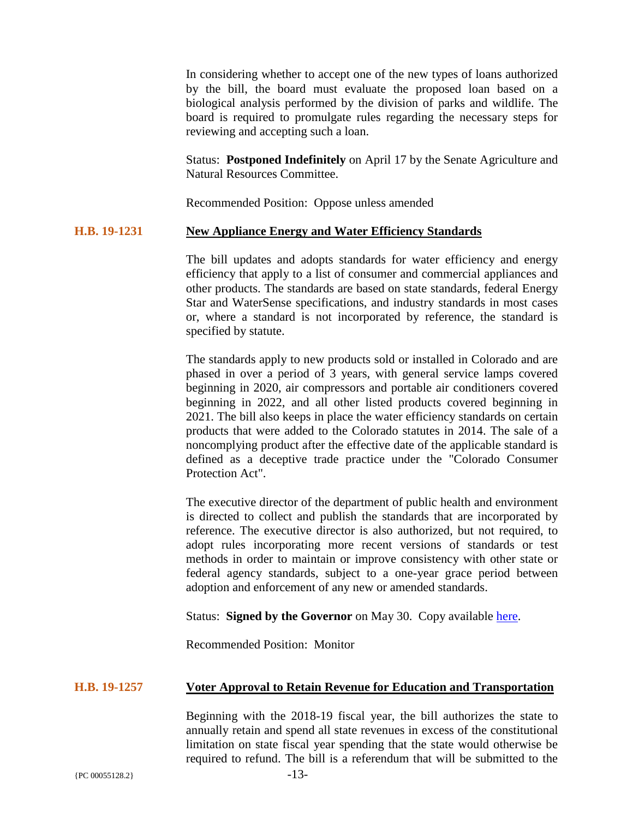In considering whether to accept one of the new types of loans authorized by the bill, the board must evaluate the proposed loan based on a biological analysis performed by the division of parks and wildlife. The board is required to promulgate rules regarding the necessary steps for reviewing and accepting such a loan.

Status: **Postponed Indefinitely** on April 17 by the Senate Agriculture and Natural Resources Committee.

Recommended Position: Oppose unless amended

## **H.B. 19-1231 New Appliance Energy and Water Efficiency Standards**

The bill updates and adopts standards for water efficiency and energy efficiency that apply to a list of consumer and commercial appliances and other products. The standards are based on state standards, federal Energy Star and WaterSense specifications, and industry standards in most cases or, where a standard is not incorporated by reference, the standard is specified by statute.

The standards apply to new products sold or installed in Colorado and are phased in over a period of 3 years, with general service lamps covered beginning in 2020, air compressors and portable air conditioners covered beginning in 2022, and all other listed products covered beginning in 2021. The bill also keeps in place the water efficiency standards on certain products that were added to the Colorado statutes in 2014. The sale of a noncomplying product after the effective date of the applicable standard is defined as a deceptive trade practice under the "Colorado Consumer Protection Act".

The executive director of the department of public health and environment is directed to collect and publish the standards that are incorporated by reference. The executive director is also authorized, but not required, to adopt rules incorporating more recent versions of standards or test methods in order to maintain or improve consistency with other state or federal agency standards, subject to a one-year grace period between adoption and enforcement of any new or amended standards.

Status: **Signed by the Governor** on May 30. Copy available [here.](https://plattecanyonwd-my.sharepoint.com/:b:/g/personal/pjfitzgerald_plattecanyon_org/EbXw7Y1fepNOrUNjXGE3Q2IBeDkO9jVaePg4ny-05m8pwA?e=fJxIBi)

Recommended Position: Monitor

#### **H.B. 19-1257 Voter Approval to Retain Revenue for Education and Transportation**

Beginning with the 2018-19 fiscal year, the bill authorizes the state to annually retain and spend all state revenues in excess of the constitutional limitation on state fiscal year spending that the state would otherwise be required to refund. The bill is a referendum that will be submitted to the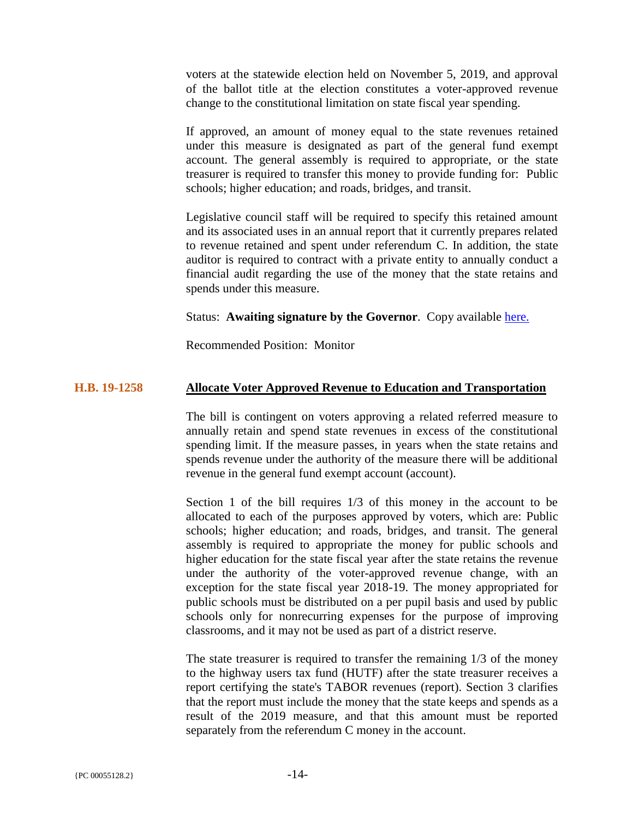voters at the statewide election held on November 5, 2019, and approval of the ballot title at the election constitutes a voter-approved revenue change to the constitutional limitation on state fiscal year spending.

If approved, an amount of money equal to the state revenues retained under this measure is designated as part of the general fund exempt account. The general assembly is required to appropriate, or the state treasurer is required to transfer this money to provide funding for: Public schools; higher education; and roads, bridges, and transit.

Legislative council staff will be required to specify this retained amount and its associated uses in an annual report that it currently prepares related to revenue retained and spent under referendum C. In addition, the state auditor is required to contract with a private entity to annually conduct a financial audit regarding the use of the money that the state retains and spends under this measure.

Status: **Awaiting signature by the Governor**. Copy available [here.](https://plattecanyonwd-my.sharepoint.com/:b:/g/personal/pjfitzgerald_plattecanyon_org/EUN5ptJNZGxLoi2864UfX2kBP_xJ5_xrsMPlHgvYGZeUIw?e=mLjU2o)

Recommended Position: Monitor

# **H.B. 19-1258 Allocate Voter Approved Revenue to Education and Transportation**

The bill is contingent on voters approving a related referred measure to annually retain and spend state revenues in excess of the constitutional spending limit. If the measure passes, in years when the state retains and spends revenue under the authority of the measure there will be additional revenue in the general fund exempt account (account).

Section 1 of the bill requires 1/3 of this money in the account to be allocated to each of the purposes approved by voters, which are: Public schools; higher education; and roads, bridges, and transit. The general assembly is required to appropriate the money for public schools and higher education for the state fiscal year after the state retains the revenue under the authority of the voter-approved revenue change, with an exception for the state fiscal year 2018-19. The money appropriated for public schools must be distributed on a per pupil basis and used by public schools only for nonrecurring expenses for the purpose of improving classrooms, and it may not be used as part of a district reserve.

The state treasurer is required to transfer the remaining 1/3 of the money to the highway users tax fund (HUTF) after the state treasurer receives a report certifying the state's TABOR revenues (report). Section 3 clarifies that the report must include the money that the state keeps and spends as a result of the 2019 measure, and that this amount must be reported separately from the referendum C money in the account.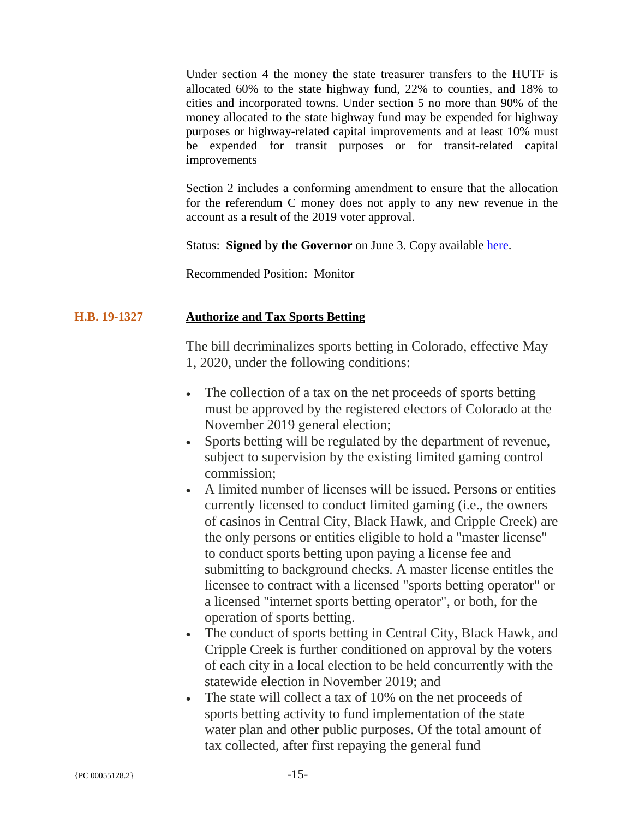Under section 4 the money the state treasurer transfers to the HUTF is allocated 60% to the state highway fund, 22% to counties, and 18% to cities and incorporated towns. Under section 5 no more than 90% of the money allocated to the state highway fund may be expended for highway purposes or highway-related capital improvements and at least 10% must be expended for transit purposes or for transit-related capital improvements

Section 2 includes a conforming amendment to ensure that the allocation for the referendum C money does not apply to any new revenue in the account as a result of the 2019 voter approval.

Status: **Signed by the Governor** on June 3. Copy available [here.](https://plattecanyonwd-my.sharepoint.com/:b:/g/personal/pjfitzgerald_plattecanyon_org/ERsHlMd_OxFDm3AUUrqUE38BiNXDpqdT4tR8fBl8759ozA?e=DzsKIs)

Recommended Position: Monitor

# **H.B. 19-1327 Authorize and Tax Sports Betting**

The bill decriminalizes sports betting in Colorado, effective May 1, 2020, under the following conditions:

- The collection of a tax on the net proceeds of sports betting must be approved by the registered electors of Colorado at the November 2019 general election;
- Sports betting will be regulated by the department of revenue, subject to supervision by the existing limited gaming control commission;
- A limited number of licenses will be issued. Persons or entities currently licensed to conduct limited gaming (i.e., the owners of casinos in Central City, Black Hawk, and Cripple Creek) are the only persons or entities eligible to hold a "master license" to conduct sports betting upon paying a license fee and submitting to background checks. A master license entitles the licensee to contract with a licensed "sports betting operator" or a licensed "internet sports betting operator", or both, for the operation of sports betting.
- The conduct of sports betting in Central City, Black Hawk, and Cripple Creek is further conditioned on approval by the voters of each city in a local election to be held concurrently with the statewide election in November 2019; and
- The state will collect a tax of 10% on the net proceeds of sports betting activity to fund implementation of the state water plan and other public purposes. Of the total amount of tax collected, after first repaying the general fund